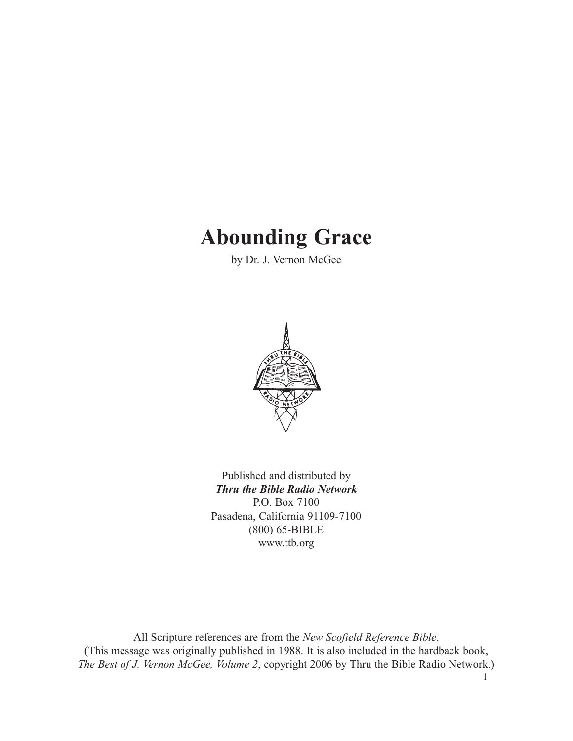# **Abounding Grace**

by Dr. J. Vernon McGee



Published and distributed by *Thru the Bible Radio Network* P.O. Box 7100 Pasadena, California 91109-7100 (800) 65-BIBLE www.ttb.org

All Scripture references are from the *New Scofield Reference Bible*. (This message was originally published in 1988. It is also included in the hardback book, *The Best of J. Vernon McGee, Volume 2*, copyright 2006 by Thru the Bible Radio Network.)

1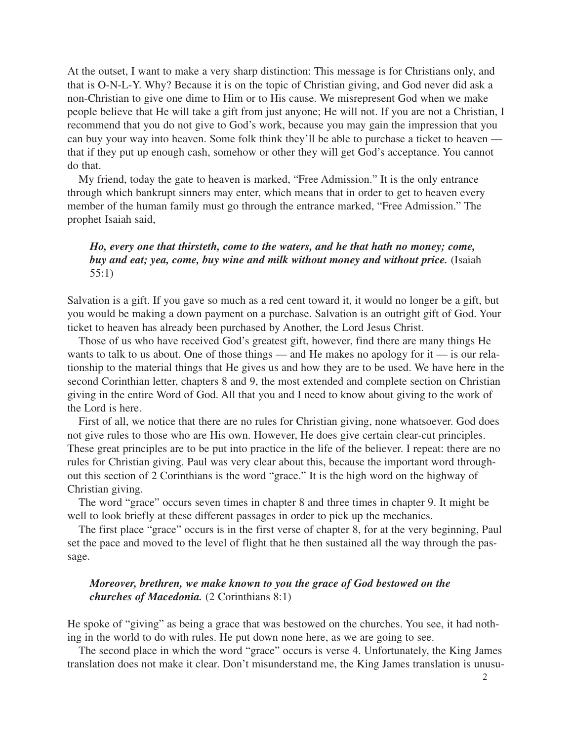At the outset, I want to make a very sharp distinction: This message is for Christians only, and that is O-N-L-Y. Why? Because it is on the topic of Christian giving, and God never did ask a non-Christian to give one dime to Him or to His cause. We misrepresent God when we make people believe that He will take a gift from just anyone; He will not. If you are not a Christian, I recommend that you do not give to God's work, because you may gain the impression that you can buy your way into heaven. Some folk think they'll be able to purchase a ticket to heaven that if they put up enough cash, somehow or other they will get God's acceptance. You cannot do that.

My friend, today the gate to heaven is marked, "Free Admission." It is the only entrance through which bankrupt sinners may enter, which means that in order to get to heaven every member of the human family must go through the entrance marked, "Free Admission." The prophet Isaiah said,

## *Ho, every one that thirsteth, come to the waters, and he that hath no money; come, buy and eat; yea, come, buy wine and milk without money and without price.* (Isaiah 55:1)

Salvation is a gift. If you gave so much as a red cent toward it, it would no longer be a gift, but you would be making a down payment on a purchase. Salvation is an outright gift of God. Your ticket to heaven has already been purchased by Another, the Lord Jesus Christ.

Those of us who have received God's greatest gift, however, find there are many things He wants to talk to us about. One of those things — and He makes no apology for it — is our relationship to the material things that He gives us and how they are to be used. We have here in the second Corinthian letter, chapters 8 and 9, the most extended and complete section on Christian giving in the entire Word of God. All that you and I need to know about giving to the work of the Lord is here.

First of all, we notice that there are no rules for Christian giving, none whatsoever. God does not give rules to those who are His own. However, He does give certain clear-cut principles. These great principles are to be put into practice in the life of the believer. I repeat: there are no rules for Christian giving. Paul was very clear about this, because the important word throughout this section of 2 Corinthians is the word "grace." It is the high word on the highway of Christian giving.

The word "grace" occurs seven times in chapter 8 and three times in chapter 9. It might be well to look briefly at these different passages in order to pick up the mechanics.

The first place "grace" occurs is in the first verse of chapter 8, for at the very beginning, Paul set the pace and moved to the level of flight that he then sustained all the way through the passage.

#### *Moreover, brethren, we make known to you the grace of God bestowed on the churches of Macedonia.* (2 Corinthians 8:1)

He spoke of "giving" as being a grace that was bestowed on the churches. You see, it had nothing in the world to do with rules. He put down none here, as we are going to see.

The second place in which the word "grace" occurs is verse 4. Unfortunately, the King James translation does not make it clear. Don't misunderstand me, the King James translation is unusu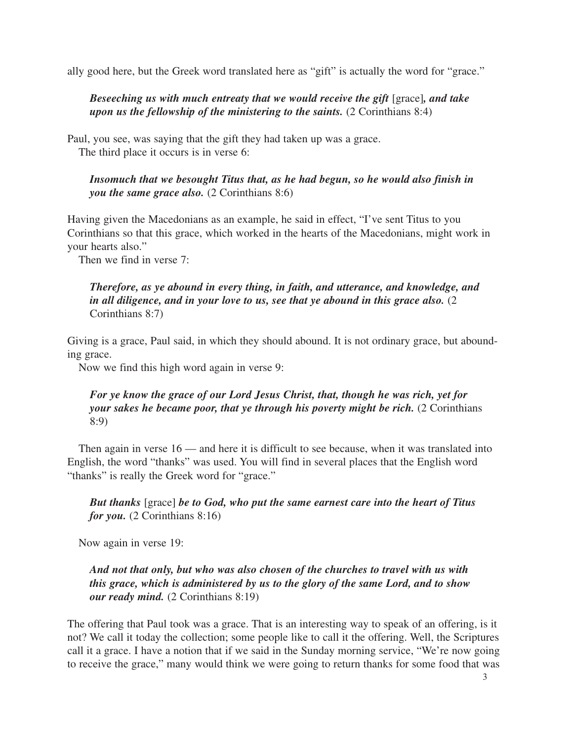ally good here, but the Greek word translated here as "gift" is actually the word for "grace."

*Beseeching us with much entreaty that we would receive the gift* [grace]*, and take upon us the fellowship of the ministering to the saints.* (2 Corinthians 8:4)

Paul, you see, was saying that the gift they had taken up was a grace. The third place it occurs is in verse 6:

*Insomuch that we besought Titus that, as he had begun, so he would also finish in you the same grace also.* (2 Corinthians 8:6)

Having given the Macedonians as an example, he said in effect, "I've sent Titus to you Corinthians so that this grace, which worked in the hearts of the Macedonians, might work in your hearts also."

Then we find in verse 7:

## *Therefore, as ye abound in every thing, in faith, and utterance, and knowledge, and in all diligence, and in your love to us, see that ye abound in this grace also.* (2 Corinthians 8:7)

Giving is a grace, Paul said, in which they should abound. It is not ordinary grace, but abounding grace.

Now we find this high word again in verse 9:

## *For ye know the grace of our Lord Jesus Christ, that, though he was rich, yet for your sakes he became poor, that ye through his poverty might be rich.* (2 Corinthians 8:9)

Then again in verse 16 — and here it is difficult to see because, when it was translated into English, the word "thanks" was used. You will find in several places that the English word "thanks" is really the Greek word for "grace."

*But thanks* [grace] *be to God, who put the same earnest care into the heart of Titus for you.* (2 Corinthians 8:16)

Now again in verse 19:

# *And not that only, but who was also chosen of the churches to travel with us with this grace, which is administered by us to the glory of the same Lord, and to show our ready mind.* (2 Corinthians 8:19)

The offering that Paul took was a grace. That is an interesting way to speak of an offering, is it not? We call it today the collection; some people like to call it the offering. Well, the Scriptures call it a grace. I have a notion that if we said in the Sunday morning service, "We're now going to receive the grace," many would think we were going to return thanks for some food that was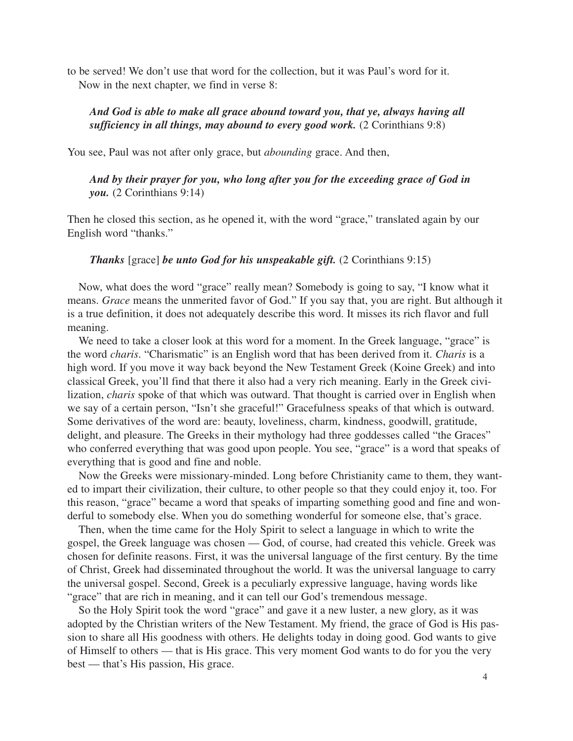to be served! We don't use that word for the collection, but it was Paul's word for it. Now in the next chapter, we find in verse 8:

#### *And God is able to make all grace abound toward you, that ye, always having all sufficiency in all things, may abound to every good work.* (2 Corinthians 9:8)

You see, Paul was not after only grace, but *abounding* grace. And then,

*And by their prayer for you, who long after you for the exceeding grace of God in you.* (2 Corinthians 9:14)

Then he closed this section, as he opened it, with the word "grace," translated again by our English word "thanks."

#### *Thanks* [grace] *be unto God for his unspeakable gift.* (2 Corinthians 9:15)

Now, what does the word "grace" really mean? Somebody is going to say, "I know what it means. *Grace* means the unmerited favor of God." If you say that, you are right. But although it is a true definition, it does not adequately describe this word. It misses its rich flavor and full meaning.

We need to take a closer look at this word for a moment. In the Greek language, "grace" is the word *charis*. "Charismatic" is an English word that has been derived from it. *Charis* is a high word. If you move it way back beyond the New Testament Greek (Koine Greek) and into classical Greek, you'll find that there it also had a very rich meaning. Early in the Greek civilization, *charis* spoke of that which was outward. That thought is carried over in English when we say of a certain person, "Isn't she graceful!" Gracefulness speaks of that which is outward. Some derivatives of the word are: beauty, loveliness, charm, kindness, goodwill, gratitude, delight, and pleasure. The Greeks in their mythology had three goddesses called "the Graces" who conferred everything that was good upon people. You see, "grace" is a word that speaks of everything that is good and fine and noble.

Now the Greeks were missionary-minded. Long before Christianity came to them, they wanted to impart their civilization, their culture, to other people so that they could enjoy it, too. For this reason, "grace" became a word that speaks of imparting something good and fine and wonderful to somebody else. When you do something wonderful for someone else, that's grace.

Then, when the time came for the Holy Spirit to select a language in which to write the gospel, the Greek language was chosen — God, of course, had created this vehicle. Greek was chosen for definite reasons. First, it was the universal language of the first century. By the time of Christ, Greek had disseminated throughout the world. It was the universal language to carry the universal gospel. Second, Greek is a peculiarly expressive language, having words like "grace" that are rich in meaning, and it can tell our God's tremendous message.

So the Holy Spirit took the word "grace" and gave it a new luster, a new glory, as it was adopted by the Christian writers of the New Testament. My friend, the grace of God is His passion to share all His goodness with others. He delights today in doing good. God wants to give of Himself to others — that is His grace. This very moment God wants to do for you the very best — that's His passion, His grace.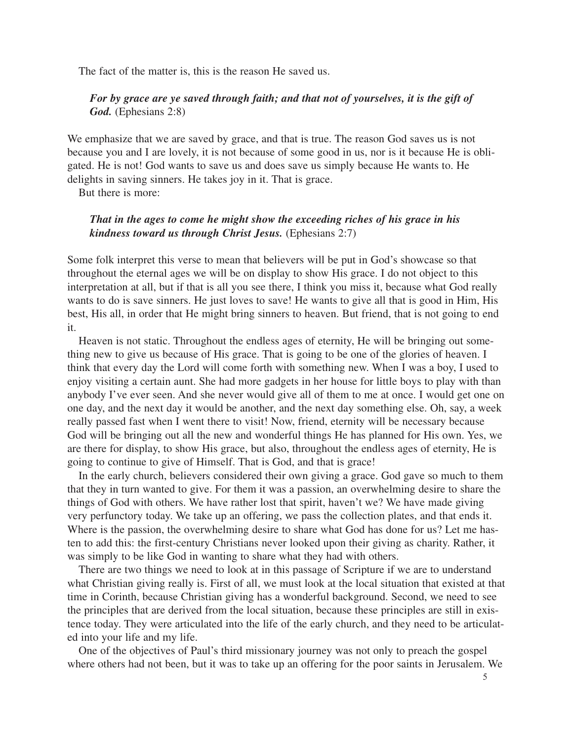The fact of the matter is, this is the reason He saved us.

# *For by grace are ye saved through faith; and that not of yourselves, it is the gift of God.* (Ephesians 2:8)

We emphasize that we are saved by grace, and that is true. The reason God saves us is not because you and I are lovely, it is not because of some good in us, nor is it because He is obligated. He is not! God wants to save us and does save us simply because He wants to. He delights in saving sinners. He takes joy in it. That is grace.

But there is more:

#### *That in the ages to come he might show the exceeding riches of his grace in his kindness toward us through Christ Jesus.* (Ephesians 2:7)

Some folk interpret this verse to mean that believers will be put in God's showcase so that throughout the eternal ages we will be on display to show His grace. I do not object to this interpretation at all, but if that is all you see there, I think you miss it, because what God really wants to do is save sinners. He just loves to save! He wants to give all that is good in Him, His best, His all, in order that He might bring sinners to heaven. But friend, that is not going to end it.

Heaven is not static. Throughout the endless ages of eternity, He will be bringing out something new to give us because of His grace. That is going to be one of the glories of heaven. I think that every day the Lord will come forth with something new. When I was a boy, I used to enjoy visiting a certain aunt. She had more gadgets in her house for little boys to play with than anybody I've ever seen. And she never would give all of them to me at once. I would get one on one day, and the next day it would be another, and the next day something else. Oh, say, a week really passed fast when I went there to visit! Now, friend, eternity will be necessary because God will be bringing out all the new and wonderful things He has planned for His own. Yes, we are there for display, to show His grace, but also, throughout the endless ages of eternity, He is going to continue to give of Himself. That is God, and that is grace!

In the early church, believers considered their own giving a grace. God gave so much to them that they in turn wanted to give. For them it was a passion, an overwhelming desire to share the things of God with others. We have rather lost that spirit, haven't we? We have made giving very perfunctory today. We take up an offering, we pass the collection plates, and that ends it. Where is the passion, the overwhelming desire to share what God has done for us? Let me hasten to add this: the first-century Christians never looked upon their giving as charity. Rather, it was simply to be like God in wanting to share what they had with others.

There are two things we need to look at in this passage of Scripture if we are to understand what Christian giving really is. First of all, we must look at the local situation that existed at that time in Corinth, because Christian giving has a wonderful background. Second, we need to see the principles that are derived from the local situation, because these principles are still in existence today. They were articulated into the life of the early church, and they need to be articulated into your life and my life.

One of the objectives of Paul's third missionary journey was not only to preach the gospel where others had not been, but it was to take up an offering for the poor saints in Jerusalem. We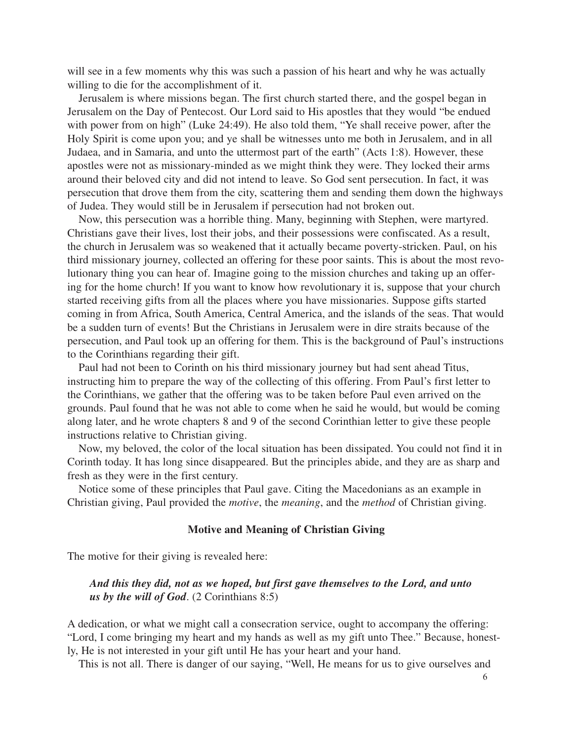will see in a few moments why this was such a passion of his heart and why he was actually willing to die for the accomplishment of it.

Jerusalem is where missions began. The first church started there, and the gospel began in Jerusalem on the Day of Pentecost. Our Lord said to His apostles that they would "be endued with power from on high" (Luke 24:49). He also told them, "Ye shall receive power, after the Holy Spirit is come upon you; and ye shall be witnesses unto me both in Jerusalem, and in all Judaea, and in Samaria, and unto the uttermost part of the earth" (Acts 1:8). However, these apostles were not as missionary-minded as we might think they were. They locked their arms around their beloved city and did not intend to leave. So God sent persecution. In fact, it was persecution that drove them from the city, scattering them and sending them down the highways of Judea. They would still be in Jerusalem if persecution had not broken out.

Now, this persecution was a horrible thing. Many, beginning with Stephen, were martyred. Christians gave their lives, lost their jobs, and their possessions were confiscated. As a result, the church in Jerusalem was so weakened that it actually became poverty-stricken. Paul, on his third missionary journey, collected an offering for these poor saints. This is about the most revolutionary thing you can hear of. Imagine going to the mission churches and taking up an offering for the home church! If you want to know how revolutionary it is, suppose that your church started receiving gifts from all the places where you have missionaries. Suppose gifts started coming in from Africa, South America, Central America, and the islands of the seas. That would be a sudden turn of events! But the Christians in Jerusalem were in dire straits because of the persecution, and Paul took up an offering for them. This is the background of Paul's instructions to the Corinthians regarding their gift.

Paul had not been to Corinth on his third missionary journey but had sent ahead Titus, instructing him to prepare the way of the collecting of this offering. From Paul's first letter to the Corinthians, we gather that the offering was to be taken before Paul even arrived on the grounds. Paul found that he was not able to come when he said he would, but would be coming along later, and he wrote chapters 8 and 9 of the second Corinthian letter to give these people instructions relative to Christian giving.

Now, my beloved, the color of the local situation has been dissipated. You could not find it in Corinth today. It has long since disappeared. But the principles abide, and they are as sharp and fresh as they were in the first century.

Notice some of these principles that Paul gave. Citing the Macedonians as an example in Christian giving, Paul provided the *motive*, the *meaning*, and the *method* of Christian giving.

#### **Motive and Meaning of Christian Giving**

The motive for their giving is revealed here:

#### *And this they did, not as we hoped, but first gave themselves to the Lord, and unto us by the will of God*. (2 Corinthians 8:5)

A dedication, or what we might call a consecration service, ought to accompany the offering: "Lord, I come bringing my heart and my hands as well as my gift unto Thee." Because, honestly, He is not interested in your gift until He has your heart and your hand.

This is not all. There is danger of our saying, "Well, He means for us to give ourselves and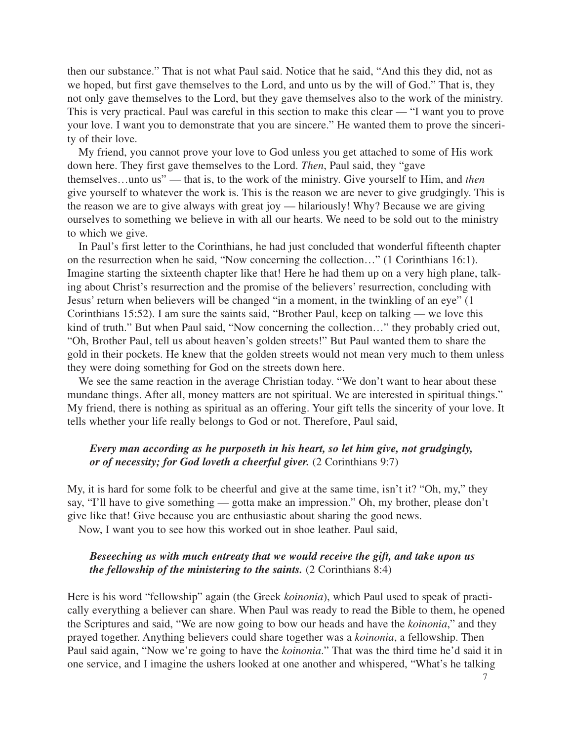then our substance." That is not what Paul said. Notice that he said, "And this they did, not as we hoped, but first gave themselves to the Lord, and unto us by the will of God." That is, they not only gave themselves to the Lord, but they gave themselves also to the work of the ministry. This is very practical. Paul was careful in this section to make this clear — "I want you to prove your love. I want you to demonstrate that you are sincere." He wanted them to prove the sincerity of their love.

My friend, you cannot prove your love to God unless you get attached to some of His work down here. They first gave themselves to the Lord. *Then*, Paul said, they "gave themselves…unto us" — that is, to the work of the ministry. Give yourself to Him, and *then* give yourself to whatever the work is. This is the reason we are never to give grudgingly. This is the reason we are to give always with great joy — hilariously! Why? Because we are giving ourselves to something we believe in with all our hearts. We need to be sold out to the ministry to which we give.

In Paul's first letter to the Corinthians, he had just concluded that wonderful fifteenth chapter on the resurrection when he said, "Now concerning the collection…" (1 Corinthians 16:1). Imagine starting the sixteenth chapter like that! Here he had them up on a very high plane, talking about Christ's resurrection and the promise of the believers' resurrection, concluding with Jesus' return when believers will be changed "in a moment, in the twinkling of an eye" (1 Corinthians 15:52). I am sure the saints said, "Brother Paul, keep on talking — we love this kind of truth." But when Paul said, "Now concerning the collection…" they probably cried out, "Oh, Brother Paul, tell us about heaven's golden streets!" But Paul wanted them to share the gold in their pockets. He knew that the golden streets would not mean very much to them unless they were doing something for God on the streets down here.

We see the same reaction in the average Christian today. "We don't want to hear about these mundane things. After all, money matters are not spiritual. We are interested in spiritual things." My friend, there is nothing as spiritual as an offering. Your gift tells the sincerity of your love. It tells whether your life really belongs to God or not. Therefore, Paul said,

#### *Every man according as he purposeth in his heart, so let him give, not grudgingly, or of necessity; for God loveth a cheerful giver.* (2 Corinthians 9:7)

My, it is hard for some folk to be cheerful and give at the same time, isn't it? "Oh, my," they say, "I'll have to give something — gotta make an impression." Oh, my brother, please don't give like that! Give because you are enthusiastic about sharing the good news.

Now, I want you to see how this worked out in shoe leather. Paul said,

#### *Beseeching us with much entreaty that we would receive the gift, and take upon us the fellowship of the ministering to the saints.* (2 Corinthians 8:4)

Here is his word "fellowship" again (the Greek *koinonia*), which Paul used to speak of practically everything a believer can share. When Paul was ready to read the Bible to them, he opened the Scriptures and said, "We are now going to bow our heads and have the *koinonia*," and they prayed together. Anything believers could share together was a *koinonia*, a fellowship. Then Paul said again, "Now we're going to have the *koinonia*." That was the third time he'd said it in one service, and I imagine the ushers looked at one another and whispered, "What's he talking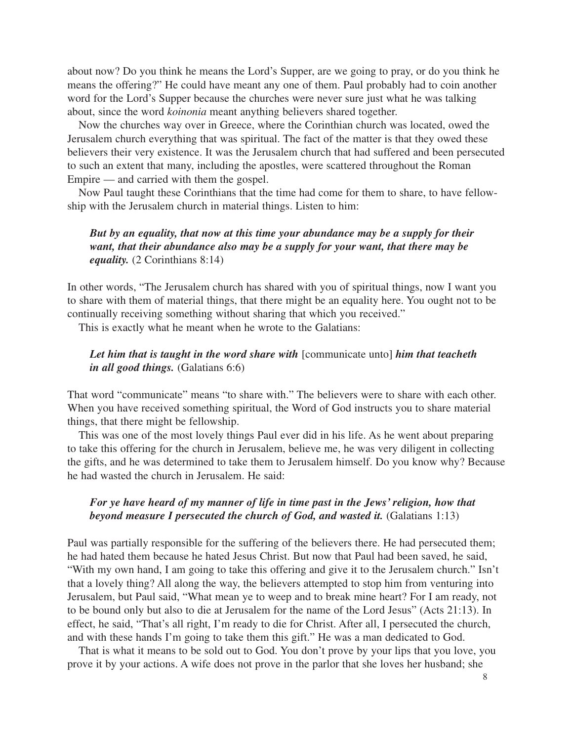about now? Do you think he means the Lord's Supper, are we going to pray, or do you think he means the offering?" He could have meant any one of them. Paul probably had to coin another word for the Lord's Supper because the churches were never sure just what he was talking about, since the word *koinonia* meant anything believers shared together.

Now the churches way over in Greece, where the Corinthian church was located, owed the Jerusalem church everything that was spiritual. The fact of the matter is that they owed these believers their very existence. It was the Jerusalem church that had suffered and been persecuted to such an extent that many, including the apostles, were scattered throughout the Roman Empire — and carried with them the gospel.

Now Paul taught these Corinthians that the time had come for them to share, to have fellowship with the Jerusalem church in material things. Listen to him:

# *But by an equality, that now at this time your abundance may be a supply for their want, that their abundance also may be a supply for your want, that there may be equality.* (2 Corinthians 8:14)

In other words, "The Jerusalem church has shared with you of spiritual things, now I want you to share with them of material things, that there might be an equality here. You ought not to be continually receiving something without sharing that which you received."

This is exactly what he meant when he wrote to the Galatians:

#### Let him that is taught in the word share with [communicate unto] him that teacheth *in all good things.* (Galatians 6:6)

That word "communicate" means "to share with." The believers were to share with each other. When you have received something spiritual, the Word of God instructs you to share material things, that there might be fellowship.

This was one of the most lovely things Paul ever did in his life. As he went about preparing to take this offering for the church in Jerusalem, believe me, he was very diligent in collecting the gifts, and he was determined to take them to Jerusalem himself. Do you know why? Because he had wasted the church in Jerusalem. He said:

## *For ye have heard of my manner of life in time past in the Jews' religion, how that beyond measure I persecuted the church of God, and wasted it.* (Galatians 1:13)

Paul was partially responsible for the suffering of the believers there. He had persecuted them; he had hated them because he hated Jesus Christ. But now that Paul had been saved, he said, "With my own hand, I am going to take this offering and give it to the Jerusalem church." Isn't that a lovely thing? All along the way, the believers attempted to stop him from venturing into Jerusalem, but Paul said, "What mean ye to weep and to break mine heart? For I am ready, not to be bound only but also to die at Jerusalem for the name of the Lord Jesus" (Acts 21:13). In effect, he said, "That's all right, I'm ready to die for Christ. After all, I persecuted the church, and with these hands I'm going to take them this gift." He was a man dedicated to God.

That is what it means to be sold out to God. You don't prove by your lips that you love, you prove it by your actions. A wife does not prove in the parlor that she loves her husband; she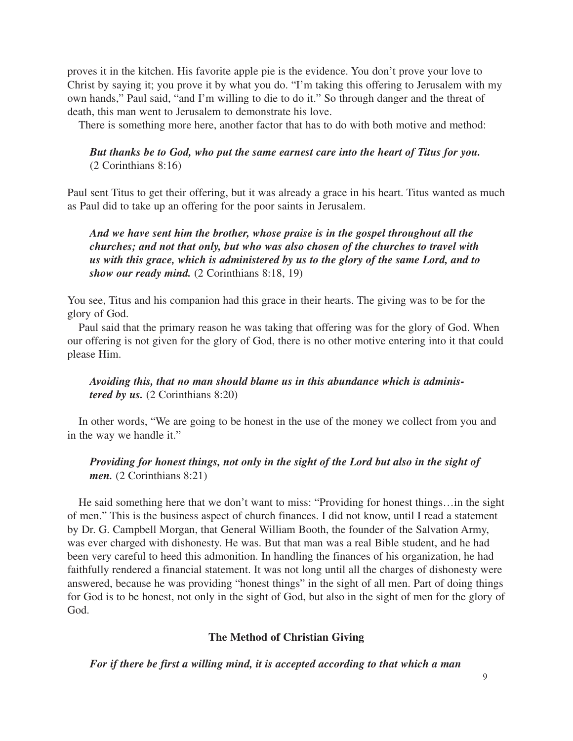proves it in the kitchen. His favorite apple pie is the evidence. You don't prove your love to Christ by saying it; you prove it by what you do. "I'm taking this offering to Jerusalem with my own hands," Paul said, "and I'm willing to die to do it." So through danger and the threat of death, this man went to Jerusalem to demonstrate his love.

There is something more here, another factor that has to do with both motive and method:

#### *But thanks be to God, who put the same earnest care into the heart of Titus for you.* (2 Corinthians 8:16)

Paul sent Titus to get their offering, but it was already a grace in his heart. Titus wanted as much as Paul did to take up an offering for the poor saints in Jerusalem.

*And we have sent him the brother, whose praise is in the gospel throughout all the churches; and not that only, but who was also chosen of the churches to travel with us with this grace, which is administered by us to the glory of the same Lord, and to show our ready mind.* (2 Corinthians 8:18, 19)

You see, Titus and his companion had this grace in their hearts. The giving was to be for the glory of God.

Paul said that the primary reason he was taking that offering was for the glory of God. When our offering is not given for the glory of God, there is no other motive entering into it that could please Him.

*Avoiding this, that no man should blame us in this abundance which is administered by us.* (2 Corinthians 8:20)

In other words, "We are going to be honest in the use of the money we collect from you and in the way we handle it."

# *Providing for honest things, not only in the sight of the Lord but also in the sight of men.* (2 Corinthians 8:21)

He said something here that we don't want to miss: "Providing for honest things…in the sight of men." This is the business aspect of church finances. I did not know, until I read a statement by Dr. G. Campbell Morgan, that General William Booth, the founder of the Salvation Army, was ever charged with dishonesty. He was. But that man was a real Bible student, and he had been very careful to heed this admonition. In handling the finances of his organization, he had faithfully rendered a financial statement. It was not long until all the charges of dishonesty were answered, because he was providing "honest things" in the sight of all men. Part of doing things for God is to be honest, not only in the sight of God, but also in the sight of men for the glory of God.

#### **The Method of Christian Giving**

*For if there be first a willing mind, it is accepted according to that which a man*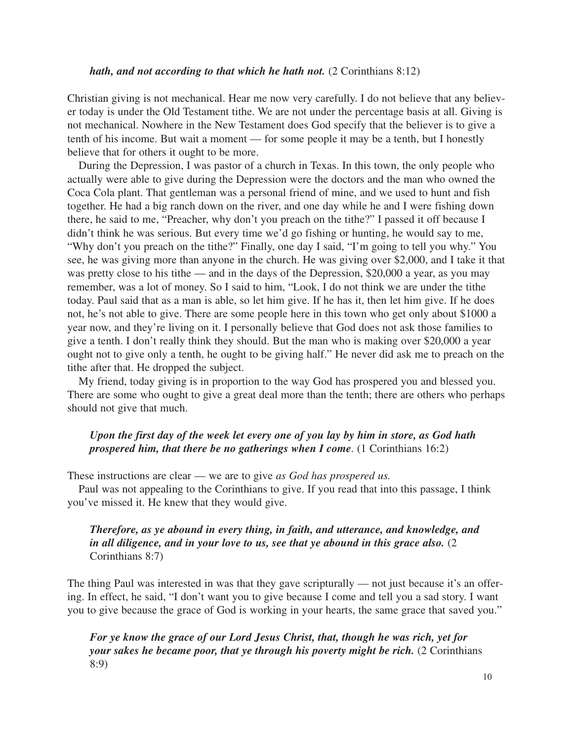#### *hath, and not according to that which he hath not.* (2 Corinthians 8:12)

Christian giving is not mechanical. Hear me now very carefully. I do not believe that any believer today is under the Old Testament tithe. We are not under the percentage basis at all. Giving is not mechanical. Nowhere in the New Testament does God specify that the believer is to give a tenth of his income. But wait a moment — for some people it may be a tenth, but I honestly believe that for others it ought to be more.

During the Depression, I was pastor of a church in Texas. In this town, the only people who actually were able to give during the Depression were the doctors and the man who owned the Coca Cola plant. That gentleman was a personal friend of mine, and we used to hunt and fish together. He had a big ranch down on the river, and one day while he and I were fishing down there, he said to me, "Preacher, why don't you preach on the tithe?" I passed it off because I didn't think he was serious. But every time we'd go fishing or hunting, he would say to me, "Why don't you preach on the tithe?" Finally, one day I said, "I'm going to tell you why." You see, he was giving more than anyone in the church. He was giving over \$2,000, and I take it that was pretty close to his tithe — and in the days of the Depression, \$20,000 a year, as you may remember, was a lot of money. So I said to him, "Look, I do not think we are under the tithe today. Paul said that as a man is able, so let him give. If he has it, then let him give. If he does not, he's not able to give. There are some people here in this town who get only about \$1000 a year now, and they're living on it. I personally believe that God does not ask those families to give a tenth. I don't really think they should. But the man who is making over \$20,000 a year ought not to give only a tenth, he ought to be giving half." He never did ask me to preach on the tithe after that. He dropped the subject.

My friend, today giving is in proportion to the way God has prospered you and blessed you. There are some who ought to give a great deal more than the tenth; there are others who perhaps should not give that much.

#### *Upon the first day of the week let every one of you lay by him in store, as God hath prospered him, that there be no gatherings when I come*. (1 Corinthians 16:2)

These instructions are clear — we are to give *as God has prospered us.*

Paul was not appealing to the Corinthians to give. If you read that into this passage, I think you've missed it. He knew that they would give.

## *Therefore, as ye abound in every thing, in faith, and utterance, and knowledge, and in all diligence, and in your love to us, see that ye abound in this grace also.* (2 Corinthians 8:7)

The thing Paul was interested in was that they gave scripturally — not just because it's an offering. In effect, he said, "I don't want you to give because I come and tell you a sad story. I want you to give because the grace of God is working in your hearts, the same grace that saved you."

*For ye know the grace of our Lord Jesus Christ, that, though he was rich, yet for your sakes he became poor, that ye through his poverty might be rich.* (2 Corinthians 8:9)